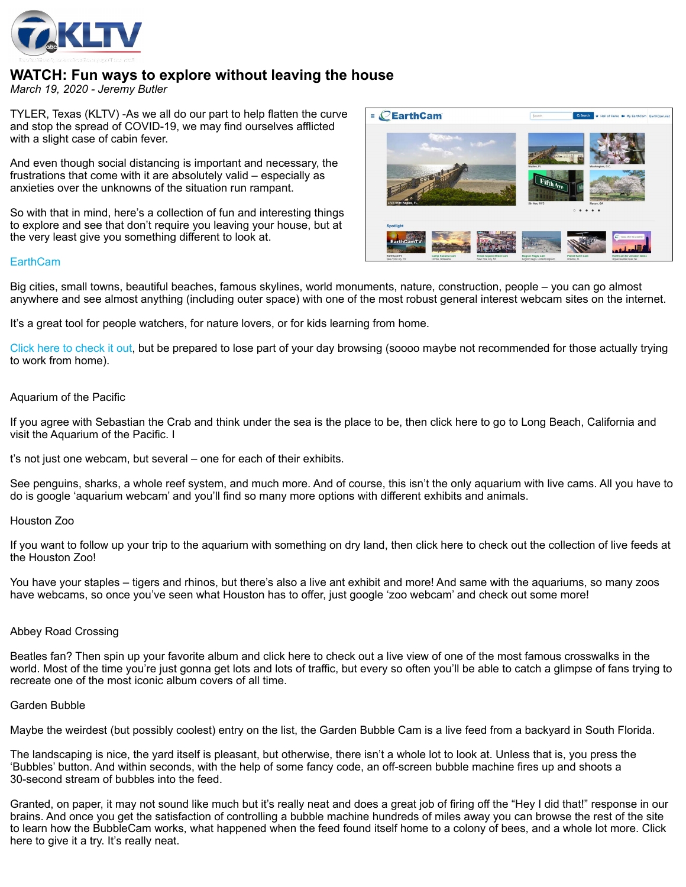

# **WATCH: Fun ways to explore without leaving the house**

*March 19, 2020 - Jeremy Butler*

TYLER, Texas (KLTV) -As we all do our part to help flatten the curve and stop the spread of COVID-19, we may find ourselves afflicted with a slight case of cabin fever.

And even though social distancing is important and necessary, the frustrations that come with it are absolutely valid – especially as anxieties over the unknowns of the situation run rampant.

So with that in mind, here's a collection of fun and interesting things to explore and see that don't require you leaving your house, but at the very least give you something different to look at.



## **[EarthCam](https://www.earthcam.com/)**

Big cities, small towns, beautiful beaches, famous skylines, world monuments, nature, construction, people – you can go almost anywhere and see almost anything (including outer space) with one of the most robust general interest webcam sites on the internet.

It's a great tool for people watchers, for nature lovers, or for kids learning from home.

[Click here to check it out,](https://www.earthcam.com/) but be prepared to lose part of your day browsing (soooo maybe not recommended for those actually trying to work from home).

## Aquarium of the Pacific

If you agree with Sebastian the Crab and think under the sea is the place to be, then click here to go to Long Beach, California and visit the Aquarium of the Pacific. I

t's not just one webcam, but several – one for each of their exhibits.

See penguins, sharks, a whole reef system, and much more. And of course, this isn't the only aquarium with live cams. All you have to do is google 'aquarium webcam' and you'll find so many more options with different exhibits and animals.

#### Houston Zoo

If you want to follow up your trip to the aquarium with something on dry land, then click here to check out the collection of live feeds at the Houston Zoo!

You have your staples – tigers and rhinos, but there's also a live ant exhibit and more! And same with the aquariums, so many zoos have webcams, so once you've seen what Houston has to offer, just google 'zoo webcam' and check out some more!

# Abbey Road Crossing

Beatles fan? Then spin up your favorite album and click here to check out a live view of one of the most famous crosswalks in the world. Most of the time you're just gonna get lots and lots of traffic, but every so often you'll be able to catch a glimpse of fans trying to recreate one of the most iconic album covers of all time.

#### Garden Bubble

Maybe the weirdest (but possibly coolest) entry on the list, the Garden Bubble Cam is a live feed from a backyard in South Florida.

The landscaping is nice, the yard itself is pleasant, but otherwise, there isn't a whole lot to look at. Unless that is, you press the 'Bubbles' button. And within seconds, with the help of some fancy code, an off-screen bubble machine fires up and shoots a 30-second stream of bubbles into the feed.

Granted, on paper, it may not sound like much but it's really neat and does a great job of firing off the "Hey I did that!" response in our brains. And once you get the satisfaction of controlling a bubble machine hundreds of miles away you can browse the rest of the site to learn how the BubbleCam works, what happened when the feed found itself home to a colony of bees, and a whole lot more. Click here to give it a try. It's really neat.